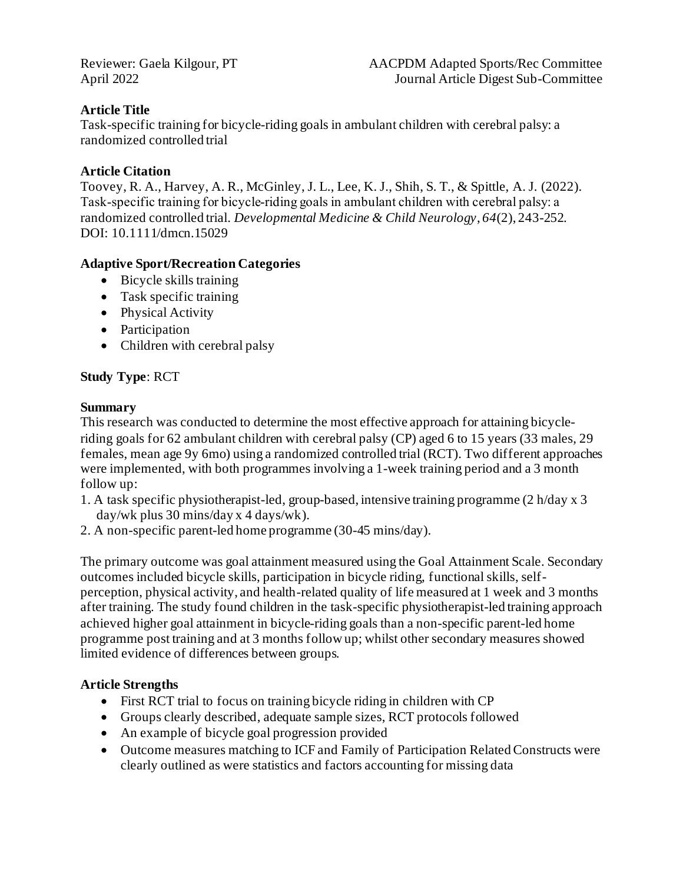## **Article Title**

Task-specific training for bicycle-riding goals in ambulant children with cerebral palsy: a randomized controlled trial

### **Article Citation**

Toovey, R. A., Harvey, A. R., McGinley, J. L., Lee, K. J., Shih, S. T., & Spittle, A. J. (2022). Task‐specific training for bicycle‐riding goals in ambulant children with cerebral palsy: a randomized controlled trial. *Developmental Medicine & Child Neurology*, *64*(2), 243-252. DOI: 10.1111/dmcn.15029

## **Adaptive Sport/Recreation Categories**

- Bicycle skills training
- Task specific training
- Physical Activity
- Participation
- Children with cerebral palsy

## **Study Type**: RCT

#### **Summary**

This research was conducted to determine the most effective approach for attaining bicycleriding goals for 62 ambulant children with cerebral palsy (CP) aged 6 to 15 years (33 males, 29 females, mean age 9y 6mo) using a randomized controlled trial (RCT). Two different approaches were implemented, with both programmes involving a 1-week training period and a 3 month follow up:

- 1. A task specific physiotherapist-led, group-based, intensive training programme (2 h/day x 3 day/wk plus 30 mins/day x 4 days/wk).
- 2. A non-specific parent-led home programme (30-45 mins/day).

The primary outcome was goal attainment measured using the Goal Attainment Scale. Secondary outcomes included bicycle skills, participation in bicycle riding, functional skills, selfperception, physical activity, and health-related quality of life measured at 1 week and 3 months after training. The study found children in the task-specific physiotherapist-led training approach achieved higher goal attainment in bicycle-riding goals than a non-specific parent-led home programme post training and at 3 months follow up; whilst other secondary measures showed limited evidence of differences between groups.

#### **Article Strengths**

- First RCT trial to focus on training bicycle riding in children with CP
- Groups clearly described, adequate sample sizes, RCT protocols followed
- An example of bicycle goal progression provided
- Outcome measures matching to ICF and Family of Participation Related Constructs were clearly outlined as were statistics and factors accounting for missing data